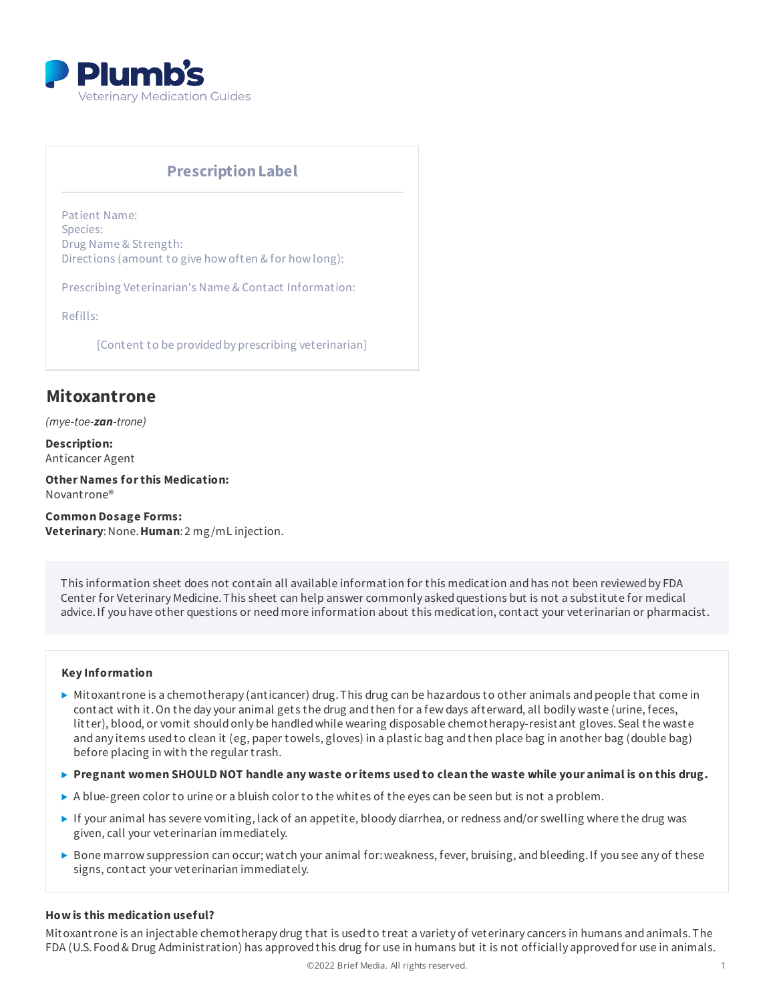

# **PrescriptionLabel**

Patient Name: Species: Drug Name & Strength: Directions (amount to give how often & for how long):

Prescribing Veterinarian's Name & Contact Information:

Refills:

[Content to be provided by prescribing veterinarian]

# **Mitoxantrone**

*(mye-toe-zan-trone)*

**Description:** Anticancer Agent

**OtherNames forthis Medication:** Novantrone®

**Common Dosage Forms: Veterinary**:None.**Human**: 2 mg/mL injection.

This information sheet does not contain all available information for this medication and has not been reviewed by FDA Center for Veterinary Medicine. This sheet can help answer commonly asked questions but is not a substitute for medical advice.If you have other questions or needmore information about this medication, contact your veterinarian or pharmacist.

## **Key Information**

- $\triangleright$  Mitoxantrone is a chemotherapy (anticancer) drug. This drug can be hazardous to other animals and people that come in contact with it.On the day your animal gets the drug andthen for a few days afterward, all bodily waste (urine, feces, litter), blood, or vomit should only be handled while wearing disposable chemotherapy-resistant gloves. Seal the waste andany items usedto clean it (eg, paper towels, gloves) in a plastic bag andthen place bag in another bag (double bag) before placing in with the regular trash.
- $\triangleright$  Pregnant women SHOULD NOT handle any waste or items used to clean the waste while your animal is on this drug.
- $\triangleright$  A blue-green color to urine or a bluish color to the whites of the eyes can be seen but is not a problem.
- If your animal has severe vomiting, lack of an appetite, bloody diarrhea, or redness and/or swelling where the drug was given, call your veterinarian immediately.
- Bone marrow suppression can occur; watch your animal for:weakness, fever, bruising, andbleeding.If you see any of these signs, contact your veterinarian immediately.

## **How is this medication useful?**

Mitoxantrone is an injectable chemotherapy drug that is usedto treat a variety of veterinary cancers in humans andanimals.The FDA (U.S. Food& Drug Administration) has approvedthis drug for use in humans but it is not officially approvedfor use in animals.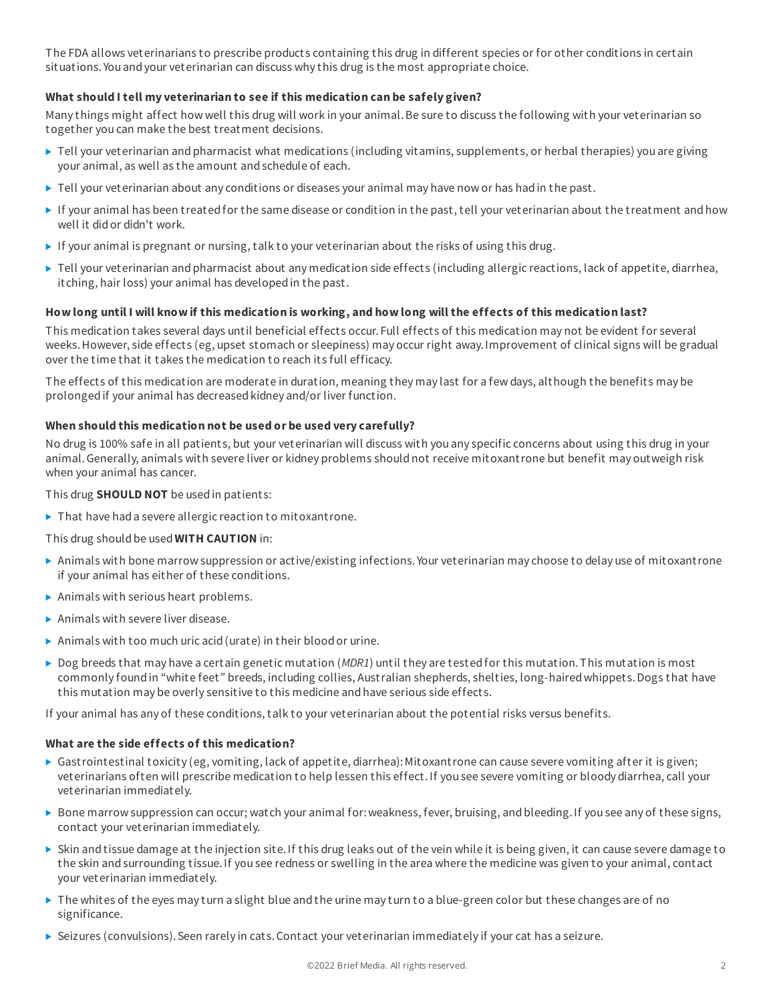The FDA allows veterinarians to prescribe products containing this drug in different species or for other conditions in certain situations. You andyour veterinarian can discuss why this drug is the most appropriate choice.

## **What should I tell my veterinarian to see if this medication can be safely given?**

Many things might affect how well this drug will work in your animal.Be sure to discuss the following with your veterinarian so together you can make the best treatment decisions.

- ▶ Tell your veterinarian and pharmacist what medications (including vitamins, supplements, or herbal therapies) you are giving your animal, as well as the amount andschedule of each.
- $\blacktriangleright$  Tell your veterinarian about any conditions or diseases your animal may have now or has had in the past.
- If your animal has been treatedfor the same disease or condition in the past, tell your veterinarian about the treatment andhow well it didor didn't work.
- If your animal is pregnant or nursing, talk to your veterinarian about the risks of using this drug.
- ▶ Tell your veterinarian and pharmacist about any medication side effects (including allergic reactions, lack of appetite, diarrhea, itching, hair loss) your animal has developedin the past.

## How long until I will know if this medication is working, and how long will the effects of this medication last?

This medication takes several days until beneficial effects occur. Full effects of this medication may not be evident for several weeks.However, side effects (eg, upset stomach or sleepiness) may occur right away.Improvement of clinical signs will be gradual over the time that it takes the medication to reach its full efficacy.

The effects of this medication are moderate in duration, meaning they may last for a few days, although the benefits may be prolonged if your animal has decreased kidney and/or liver function.

## **When should this medication not be used or be used very carefully?**

No drug is 100% safe in all patients, but your veterinarian will discuss with you any specific concerns about using this drug in your animal.Generally, animals with severe liver or kidney problems shouldnot receive mitoxantrone but benefit may outweigh risk when your animal has cancer.

This drug **SHOULD NOT** be usedin patients:

 $\blacktriangleright$  That have had a severe allergic reaction to mitoxantrone.

## This drug shouldbe used**WITH CAUTION** in:

- Animals with bone marrow suppression or active/existing infections. Your veterinarian may choose to delay use of mitoxantrone if your animal has either of these conditions.
- Animals with serious heart problems.
- $\blacktriangleright$  Animals with severe liver disease.
- Animals with too much uric acid (urate) in their blood or urine.
- ► Dog breeds that may have a certain genetic mutation (*MDR1*) until they are tested for this mutation. This mutation is most commonly foundin "white feet" breeds, including collies, Australian shepherds, shelties, long-hairedwhippets.Dogs that have this mutation may be overly sensitive to this medicine andhave serious side effects.

If your animal has any of these conditions, talk to your veterinarian about the potential risks versus benefits.

## **What are the side effects of this medication?**

- Gastrointestinal toxicity (eg, vomiting, lack of appetite, diarrhea): Mitoxantrone can cause severe vomiting after it is given; veterinarians often will prescribe medication to help lessen this effect.If you see severe vomiting or bloody diarrhea, call your veterinarian immediately.
- ▶ Bone marrow suppression can occur; watch your animal for: weakness, fever, bruising, and bleeding. If you see any of these signs, contact your veterinarian immediately.
- Skin andtissue damage at the injection site.If this drug leaks out of the vein while it is being given, it can cause severe damage to the skin andsurrounding tissue.If you see redness or swelling in the area where the medicine was given to your animal, contact your veterinarian immediately.
- $\triangleright$  The whites of the eyes may turn a slight blue and the urine may turn to a blue-green color but these changes are of no significance.
- Seizures (convulsions).Seen rarely in cats.Contact your veterinarian immediately if your cat has a seizure.